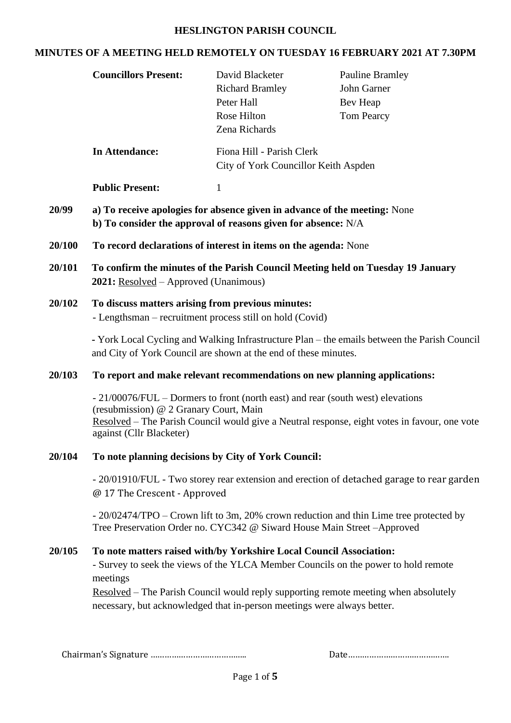#### **HESLINGTON PARISH COUNCIL**

## **MINUTES OF A MEETING HELD REMOTELY ON TUESDAY 16 FEBRUARY 2021 AT 7.30PM**

| <b>Councillors Present:</b>                                                                                                                  | David Blacketer<br><b>Richard Bramley</b><br>Peter Hall<br>Rose Hilton<br>Zena Richards | <b>Pauline Bramley</b><br>John Garner<br>Bev Heap<br><b>Tom Pearcy</b>                                                                                                                                                                                                                                                                                                                                                                                                                                                                                                                                                                                                                                                                                                                                                                                                                                                                                                                                                                                                                                                                                                                                                                                                                    |  |
|----------------------------------------------------------------------------------------------------------------------------------------------|-----------------------------------------------------------------------------------------|-------------------------------------------------------------------------------------------------------------------------------------------------------------------------------------------------------------------------------------------------------------------------------------------------------------------------------------------------------------------------------------------------------------------------------------------------------------------------------------------------------------------------------------------------------------------------------------------------------------------------------------------------------------------------------------------------------------------------------------------------------------------------------------------------------------------------------------------------------------------------------------------------------------------------------------------------------------------------------------------------------------------------------------------------------------------------------------------------------------------------------------------------------------------------------------------------------------------------------------------------------------------------------------------|--|
| <b>In Attendance:</b>                                                                                                                        | Fiona Hill - Parish Clerk<br>City of York Councillor Keith Aspden                       |                                                                                                                                                                                                                                                                                                                                                                                                                                                                                                                                                                                                                                                                                                                                                                                                                                                                                                                                                                                                                                                                                                                                                                                                                                                                                           |  |
| <b>Public Present:</b>                                                                                                                       | $\mathbf{1}$                                                                            |                                                                                                                                                                                                                                                                                                                                                                                                                                                                                                                                                                                                                                                                                                                                                                                                                                                                                                                                                                                                                                                                                                                                                                                                                                                                                           |  |
| a) To receive apologies for absence given in advance of the meeting: None<br>b) To consider the approval of reasons given for absence: $N/A$ |                                                                                         |                                                                                                                                                                                                                                                                                                                                                                                                                                                                                                                                                                                                                                                                                                                                                                                                                                                                                                                                                                                                                                                                                                                                                                                                                                                                                           |  |
| To record declarations of interest in items on the agenda: None                                                                              |                                                                                         |                                                                                                                                                                                                                                                                                                                                                                                                                                                                                                                                                                                                                                                                                                                                                                                                                                                                                                                                                                                                                                                                                                                                                                                                                                                                                           |  |
| To confirm the minutes of the Parish Council Meeting held on Tuesday 19 January<br>2021: Resolved – Approved (Unanimous)                     |                                                                                         |                                                                                                                                                                                                                                                                                                                                                                                                                                                                                                                                                                                                                                                                                                                                                                                                                                                                                                                                                                                                                                                                                                                                                                                                                                                                                           |  |
|                                                                                                                                              |                                                                                         |                                                                                                                                                                                                                                                                                                                                                                                                                                                                                                                                                                                                                                                                                                                                                                                                                                                                                                                                                                                                                                                                                                                                                                                                                                                                                           |  |
|                                                                                                                                              |                                                                                         |                                                                                                                                                                                                                                                                                                                                                                                                                                                                                                                                                                                                                                                                                                                                                                                                                                                                                                                                                                                                                                                                                                                                                                                                                                                                                           |  |
|                                                                                                                                              |                                                                                         |                                                                                                                                                                                                                                                                                                                                                                                                                                                                                                                                                                                                                                                                                                                                                                                                                                                                                                                                                                                                                                                                                                                                                                                                                                                                                           |  |
| against (Cllr Blacketer)                                                                                                                     |                                                                                         |                                                                                                                                                                                                                                                                                                                                                                                                                                                                                                                                                                                                                                                                                                                                                                                                                                                                                                                                                                                                                                                                                                                                                                                                                                                                                           |  |
|                                                                                                                                              |                                                                                         |                                                                                                                                                                                                                                                                                                                                                                                                                                                                                                                                                                                                                                                                                                                                                                                                                                                                                                                                                                                                                                                                                                                                                                                                                                                                                           |  |
|                                                                                                                                              |                                                                                         |                                                                                                                                                                                                                                                                                                                                                                                                                                                                                                                                                                                                                                                                                                                                                                                                                                                                                                                                                                                                                                                                                                                                                                                                                                                                                           |  |
|                                                                                                                                              |                                                                                         |                                                                                                                                                                                                                                                                                                                                                                                                                                                                                                                                                                                                                                                                                                                                                                                                                                                                                                                                                                                                                                                                                                                                                                                                                                                                                           |  |
| meetings                                                                                                                                     |                                                                                         |                                                                                                                                                                                                                                                                                                                                                                                                                                                                                                                                                                                                                                                                                                                                                                                                                                                                                                                                                                                                                                                                                                                                                                                                                                                                                           |  |
|                                                                                                                                              |                                                                                         | To discuss matters arising from previous minutes:<br>- Lengthsman - recruitment process still on hold (Covid)<br>- York Local Cycling and Walking Infrastructure Plan – the emails between the Parish Council<br>and City of York Council are shown at the end of these minutes.<br>To report and make relevant recommendations on new planning applications:<br>- 21/00076/FUL – Dormers to front (north east) and rear (south west) elevations<br>(resubmission) @ 2 Granary Court, Main<br>Resolved – The Parish Council would give a Neutral response, eight votes in favour, one vote<br>To note planning decisions by City of York Council:<br>- 20/01910/FUL - Two storey rear extension and erection of detached garage to rear garden<br>@ 17 The Crescent - Approved<br>- 20/02474/TPO – Crown lift to 3m, 20% crown reduction and thin Lime tree protected by<br>Tree Preservation Order no. CYC342 @ Siward House Main Street -Approved<br>To note matters raised with/by Yorkshire Local Council Association:<br>- Survey to seek the views of the YLCA Member Councils on the power to hold remote<br><u>Resolved</u> – The Parish Council would reply supporting remote meeting when absolutely<br>necessary, but acknowledged that in-person meetings were always better. |  |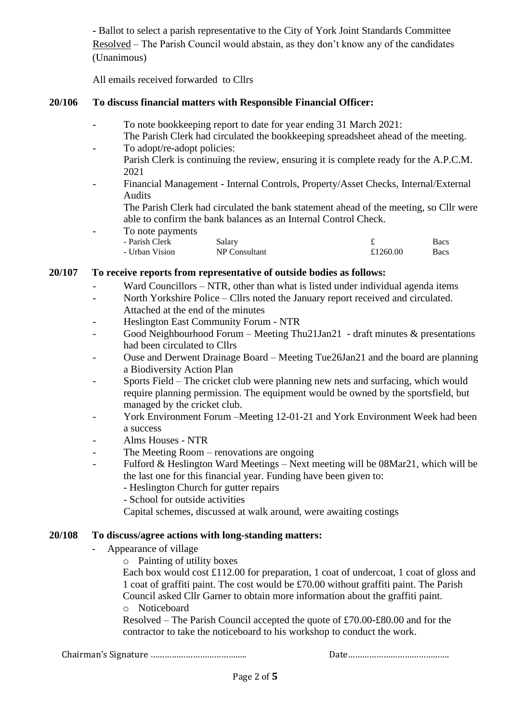**-** Ballot to select a parish representative to the City of York Joint Standards Committee Resolved – The Parish Council would abstain, as they don't know any of the candidates (Unanimous)

All emails received forwarded to Cllrs

# **20/106 To discuss financial matters with Responsible Financial Officer:**

- To note bookkeeping report to date for year ending 31 March 2021:
- The Parish Clerk had circulated the bookkeeping spreadsheet ahead of the meeting. - To adopt/re-adopt policies:
	- Parish Clerk is continuing the review, ensuring it is complete ready for the A.P.C.M. 2021
- Financial Management Internal Controls, Property/Asset Checks, Internal/External Audits

The Parish Clerk had circulated the bank statement ahead of the meeting, so Cllr were able to confirm the bank balances as an Internal Control Check.

To note payments

| $\sim$ $\sim$ $\sim$ $\sim$ $\sim$ $\sim$ $\sim$ |               |          |      |
|--------------------------------------------------|---------------|----------|------|
| - Parish Clerk                                   | Salary        |          | Bacs |
| - Urban Vision                                   | NP Consultant | £1260.00 | Bacs |

# **20/107 To receive reports from representative of outside bodies as follows:**

- Ward Councillors NTR, other than what is listed under individual agenda items
- North Yorkshire Police Cllrs noted the January report received and circulated. Attached at the end of the minutes
- Heslington East Community Forum NTR
- Good Neighbourhood Forum Meeting Thu21Jan21 draft minutes & presentations had been circulated to Cllrs
- Ouse and Derwent Drainage Board Meeting Tue26Jan21 and the board are planning a Biodiversity Action Plan
- Sports Field The cricket club were planning new nets and surfacing, which would require planning permission. The equipment would be owned by the sportsfield, but managed by the cricket club.
- York Environment Forum –Meeting 12-01-21 and York Environment Week had been a success
- Alms Houses NTR
- The Meeting Room renovations are ongoing
- Fulford & Heslington Ward Meetings Next meeting will be 08Mar21, which will be the last one for this financial year. Funding have been given to:
	- Heslington Church for gutter repairs
	- School for outside activities

Capital schemes, discussed at walk around, were awaiting costings

### **20/108 To discuss/agree actions with long-standing matters:**

- Appearance of village
	- o Painting of utility boxes

Each box would cost £112.00 for preparation, 1 coat of undercoat, 1 coat of gloss and 1 coat of graffiti paint. The cost would be £70.00 without graffiti paint. The Parish Council asked Cllr Garner to obtain more information about the graffiti paint.

o Noticeboard

Resolved – The Parish Council accepted the quote of £70.00-£80.00 and for the contractor to take the noticeboard to his workshop to conduct the work.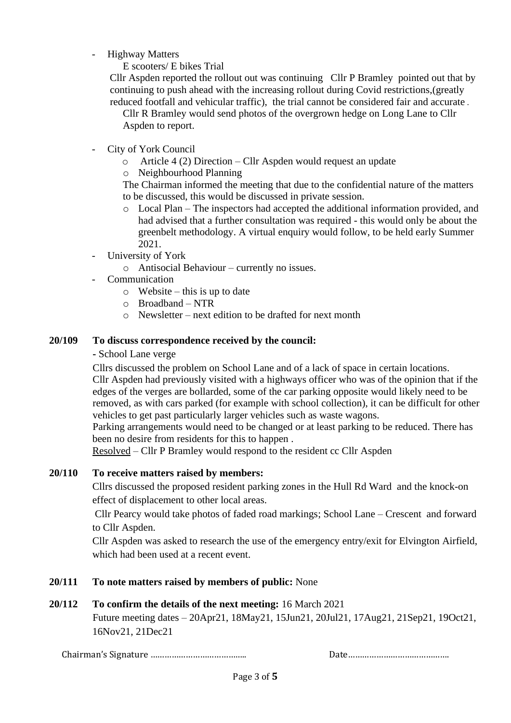- Highway Matters
	- E scooters/ E bikes Trial

Cllr Aspden reported the rollout out was continuing Cllr P Bramley pointed out that by continuing to push ahead with the increasing rollout during Covid restrictions,(greatly reduced footfall and vehicular traffic), the trial cannot be considered fair and accurate .

Cllr R Bramley would send photos of the overgrown hedge on Long Lane to Cllr Aspden to report.

- City of York Council
	- o Article 4 (2) Direction Cllr Aspden would request an update
	- o Neighbourhood Planning

The Chairman informed the meeting that due to the confidential nature of the matters to be discussed, this would be discussed in private session.

- o Local Plan The inspectors had accepted the additional information provided, and had advised that a further consultation was required - this would only be about the greenbelt methodology. A virtual enquiry would follow, to be held early Summer 2021.
- University of York
	- o Antisocial Behaviour currently no issues.
- Communication
	- $\circ$  Website this is up to date
	- $\circ$  Broadband NTR
	- o Newsletter next edition to be drafted for next month

#### **20/109 To discuss correspondence received by the council:**

#### **-** School Lane verge

Cllrs discussed the problem on School Lane and of a lack of space in certain locations. Cllr Aspden had previously visited with a highways officer who was of the opinion that if the edges of the verges are bollarded, some of the car parking opposite would likely need to be removed, as with cars parked (for example with school collection), it can be difficult for other vehicles to get past particularly larger vehicles such as waste wagons.

Parking arrangements would need to be changed or at least parking to be reduced. There has been no desire from residents for this to happen .

Resolved – Cllr P Bramley would respond to the resident cc Cllr Aspden

# **20/110 To receive matters raised by members:**

Cllrs discussed the proposed resident parking zones in the Hull Rd Ward and the knock-on effect of displacement to other local areas.

Cllr Pearcy would take photos of faded road markings; School Lane – Crescent and forward to Cllr Aspden.

Cllr Aspden was asked to research the use of the emergency entry/exit for Elvington Airfield, which had been used at a recent event.

### **20/111 To note matters raised by members of public:** None

### **20/112 To confirm the details of the next meeting:** 16 March 2021

Future meeting dates – 20Apr21, 18May21, 15Jun21, 20Jul21, 17Aug21, 21Sep21, 19Oct21, 16Nov21, 21Dec21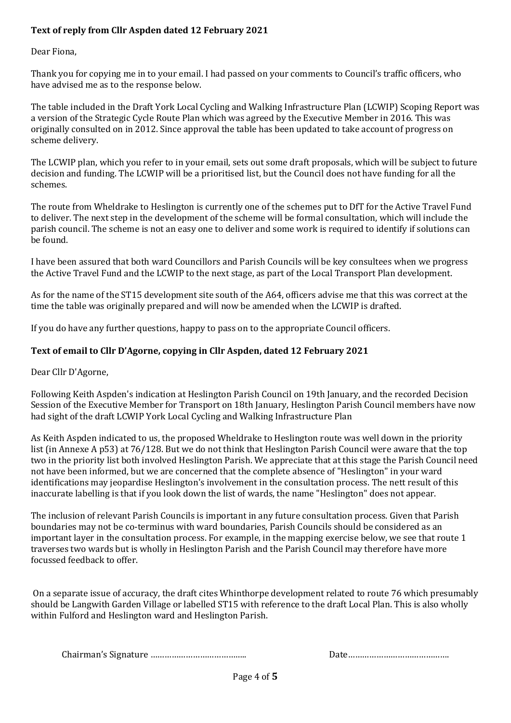## **Text of reply from Cllr Aspden dated 12 February 2021**

Dear Fiona,

Thank you for copying me in to your email. I had passed on your comments to Council's traffic officers, who have advised me as to the response below.

The table included in the Draft York Local Cycling and Walking Infrastructure Plan (LCWIP) Scoping Report was a version of the Strategic Cycle Route Plan which was agreed by the Executive Member in 2016. This was originally consulted on in 2012. Since approval the table has been updated to take account of progress on scheme delivery.

The LCWIP plan, which you refer to in your email, sets out some draft proposals, which will be subject to future decision and funding. The LCWIP will be a prioritised list, but the Council does not have funding for all the schemes.

The route from Wheldrake to Heslington is currently one of the schemes put to DfT for the Active Travel Fund to deliver. The next step in the development of the scheme will be formal consultation, which will include the parish council. The scheme is not an easy one to deliver and some work is required to identify if solutions can be found.

I have been assured that both ward Councillors and Parish Councils will be key consultees when we progress the Active Travel Fund and the LCWIP to the next stage, as part of the Local Transport Plan development.

As for the name of the ST15 development site south of the A64, officers advise me that this was correct at the time the table was originally prepared and will now be amended when the LCWIP is drafted.

If you do have any further questions, happy to pass on to the appropriate Council officers.

### **Text of email to Cllr D'Agorne, copying in Cllr Aspden, dated 12 February 2021**

Dear Cllr D'Agorne,

Following Keith Aspden's indication at Heslington Parish Council on 19th January, and the recorded Decision Session of the Executive Member for Transport on 18th January, Heslington Parish Council members have now had sight of the draft LCWIP [York Local Cycling and Walking Infrastructure Plan](https://emea01.safelinks.protection.outlook.com/?url=https%3A%2F%2Fdemocracy.york.gov.uk%2Fdocuments%2Fs145247%2FActive%2520Travel%2520Fund%2520Annex%2520C%2520-%2520LCWIP%2520Draft%2520Scoping%2520Report.pdf&data=04%7C01%7C%7Cec9e43d6443e4aaadd8608d8cf568d3f%7C84df9e7fe9f640afb435aaaaaaaaaaaa%7C1%7C0%7C637487317937226837%7CUnknown%7CTWFpbGZsb3d8eyJWIjoiMC4wLjAwMDAiLCJQIjoiV2luMzIiLCJBTiI6Ik1haWwiLCJXVCI6Mn0%3D%7C1000&sdata=PPM99VkqqkbMGsIvhvPLc038KgVGi0EO8yFlwgdK1Do%3D&reserved=0) 

As Keith Aspden indicated to us, the proposed Wheldrake to Heslington route was well down in the priority list (in Annexe A p53) at 76/128. But we do not think that Heslington Parish Council were aware that the top two in the priority list both involved Heslington Parish. We appreciate that at this stage the Parish Council need not have been informed, but we are concerned that the complete absence of "Heslington" in your ward identifications may jeopardise Heslington's involvement in the consultation process. The nett result of this inaccurate labelling is that if you look down the list of wards, the name "Heslington" does not appear.

The inclusion of relevant Parish Councils is important in any future consultation process. Given that Parish boundaries may not be co-terminus with ward boundaries, Parish Councils should be considered as an important layer in the consultation process. For example, in the mapping exercise below, we see that route 1 traverses two wards but is wholly in Heslington Parish and the Parish Council may therefore have more focussed feedback to offer.

On a separate issue of accuracy, the draft cites Whinthorpe development related to route 76 which presumably should be Langwith Garden Village or labelled ST15 with reference to the draft Local Plan. This is also wholly within Fulford and Heslington ward and Heslington Parish.